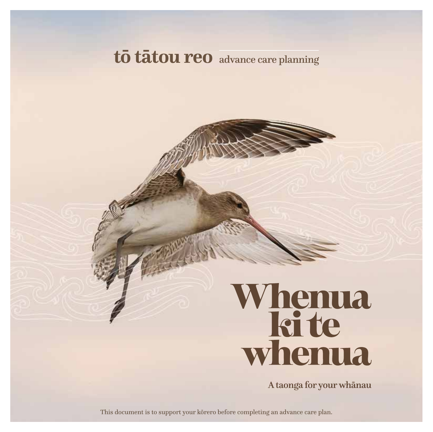# to tatou reo advance care planning

# Whenua<br>kite<br>whenua

A taonga for your whanau

This document is to support your korero before completing an advance care plan.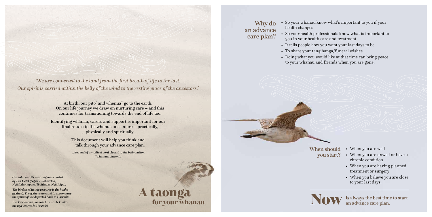At birth, our pito<sup>\*</sup> and whenua<sup>\*\*</sup> go to the earth. On our life journey we draw on nurturing care – and this continues for transitioning towards the end of life too.

Identifying whānau, carers and support is important for our final return to the whenua once more – practically, physically and spiritually.

> This document will help you think and talk through your advance care plan.

*\* pito: end of umbilical cord closest to the belly button \*\*whenua: placenta*

*'We are connected to the land from the first breath of life to the last. Our spirit is carried within the belly of the wind to the resting place of the ancestors.'*

*Our tohu and its meaning was created by Len Hetet (Ngāti Tūwharetoa, Ngāti Maniapoto, Te Atiawa, Ngāti Apa).*

> for your whanau A taonga

*The bird used in this resource is the kuaka (godwit). The godwits are said to accompany the spirits of the departed back to Hawaiki.*

*E ai ki te kōrero, ka hoki tahi atu te kuaka me ngā wairua ki Hawaiki.*

- When you are well
- When you are unwell or have a chronic condition
- When you are having planned treatment or surgery
- When you believe you are close to your last days.

is always the best time to start an advance care plan.

When should you start?



• So your whānau know what's important to you if your

- health changes
- you in your health care and treatment
- 
- To share your tangihanga/funeral wishes
- 



• So your health professionals know what is important to • It tells people how you want your last days to be • Doing what you would like at that time can bring peace

to your whānau and friends when you are gone.



Why do an advance care plan?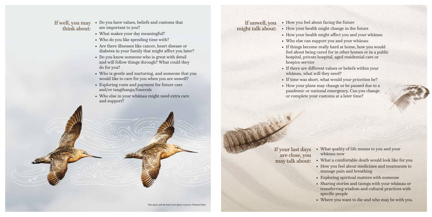If unwell, you might talk about:

> • What quality of life means to you and your whānau now

• What a comfortable death would look like for you • How you feel about medicines and treatments to manage pain and breathing

• Exploring spiritual matters with someone

• Sharing stories and taonga with your whānau or transferring wisdom and cultural practices with specific people

• Where you want to die and who may be with you.

- If your last days are close, you may talk about:
	- -
		-
		-
		-
- Do you have values, beliefs and customs that are important to you?
- What makes your day meaningful?
- Who do you like spending time with?
- Are there illnesses like cancer, heart disease or diabetes in your family that might affect you later?
- Do you know someone who is great with detail and will follow things through? What could they do for you?
- Who is gentle and nurturing, and someone that you would like to care for you when you are unwell?
- Exploring costs and payment for future care and/or tangihanga/funerals
- Who else in your whānau might need extra care and support?

If well, you may think about:

# • How you feel about facing the future

• How your health might change in the future • How your health might affect you and your whānau • If things become really hard at home, how you would feel about being cared for in other homes or in a public hospital, private hospital, aged residential care or

- 
- 
- Who else can support you and your whānau
- hospice service
- whānau, what will they need?
- 
- or complete your customs at a later time?

• If there are different values or beliefs within your

• If time was short, what would your priorities be? • How your plans may change or be paused due to a pandemic or national emergency. Can you change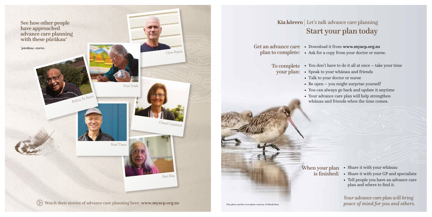- Share it with your whānau When your plan
	- Share it with your GP and specialists
	- Tell people you have an advance care plan and where to find it.

*Your advance care plan will bring peace of mind for you and others.*

- Get an advance care . Download it from www.myacp.org.nz
	-
	- To complete your plan:
		-
		-
		-
		-

# Start your plan today Kia kōrero | Let's talk advance care planning

is finished:



• You don't have to do it all at once – take your time • Speak to your whānau and friends • Talk to your doctor or nurse • Be open – you might surprise yourself • You can always go back and update it anytime • Your advance care plan will help strengthen whānau and friends when the time comes.

This photo and the cover photo courtesy of Glenda Rees

plan to complete: • Ask for a copy from your doctor or nurse.